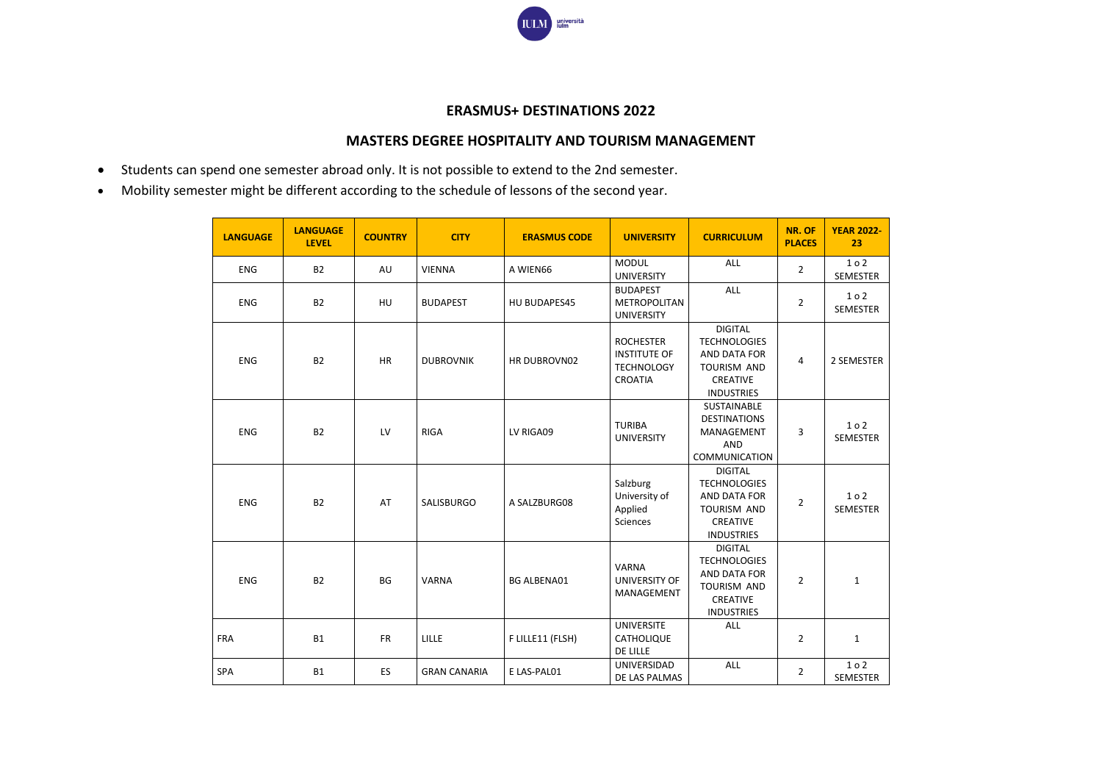

## **ERASMUS+ DESTINATIONS 2022**

## **MASTERS DEGREE HOSPITALITY AND TOURISM MANAGEMENT**

- Students can spend one semester abroad only. It is not possible to extend to the 2nd semester.
- Mobility semester might be different according to the schedule of lessons of the second year.

| <b>LANGUAGE</b> | <b>LANGUAGE</b><br><b>LEVEL</b> | <b>COUNTRY</b> | <b>CITY</b>         | <b>ERASMUS CODE</b> | <b>UNIVERSITY</b>                                                              | <b>CURRICULUM</b>                                                                                                   | NR. OF<br><b>PLACES</b> | <b>YEAR 2022-</b><br>23 |
|-----------------|---------------------------------|----------------|---------------------|---------------------|--------------------------------------------------------------------------------|---------------------------------------------------------------------------------------------------------------------|-------------------------|-------------------------|
| <b>ENG</b>      | <b>B2</b>                       | AU             | <b>VIENNA</b>       | A WIEN66            | <b>MODUL</b><br><b>UNIVERSITY</b>                                              | ALL                                                                                                                 | $\overline{2}$          | 102<br>SEMESTER         |
| <b>ENG</b>      | <b>B2</b>                       | HU             | <b>BUDAPEST</b>     | HU BUDAPES45        | <b>BUDAPEST</b><br>METROPOLITAN<br><b>UNIVERSITY</b>                           | <b>ALL</b>                                                                                                          | 2                       | 102<br><b>SEMESTER</b>  |
| <b>ENG</b>      | <b>B2</b>                       | <b>HR</b>      | <b>DUBROVNIK</b>    | HR DUBROVN02        | <b>ROCHESTER</b><br><b>INSTITUTE OF</b><br><b>TECHNOLOGY</b><br><b>CROATIA</b> | <b>DIGITAL</b><br><b>TECHNOLOGIES</b><br>AND DATA FOR<br><b>TOURISM AND</b><br>CREATIVE<br><b>INDUSTRIES</b>        | 4                       | 2 SEMESTER              |
| <b>ENG</b>      | <b>B2</b>                       | LV             | <b>RIGA</b>         | LV RIGA09           | <b>TURIBA</b><br><b>UNIVERSITY</b>                                             | SUSTAINABLE<br><b>DESTINATIONS</b><br>MANAGEMENT<br>AND<br><b>COMMUNICATION</b>                                     | 3                       | 102<br><b>SEMESTER</b>  |
| <b>ENG</b>      | <b>B2</b>                       | AT             | SALISBURGO          | A SALZBURG08        | Salzburg<br>University of<br>Applied<br><b>Sciences</b>                        | <b>DIGITAL</b><br><b>TECHNOLOGIES</b><br>AND DATA FOR<br><b>TOURISM AND</b><br><b>CREATIVE</b><br><b>INDUSTRIES</b> | $\overline{2}$          | 102<br><b>SEMESTER</b>  |
| <b>ENG</b>      | <b>B2</b>                       | <b>BG</b>      | <b>VARNA</b>        | <b>BG ALBENA01</b>  | <b>VARNA</b><br>UNIVERSITY OF<br>MANAGEMENT                                    | <b>DIGITAL</b><br><b>TECHNOLOGIES</b><br>AND DATA FOR<br>TOURISM AND<br>CREATIVE<br><b>INDUSTRIES</b>               | $\overline{2}$          | $\mathbf{1}$            |
| <b>FRA</b>      | <b>B1</b>                       | <b>FR</b>      | <b>LILLE</b>        | F LILLE11 (FLSH)    | <b>UNIVERSITE</b><br>CATHOLIQUE<br>DE LILLE                                    | <b>ALL</b>                                                                                                          | $\overline{2}$          | $\mathbf{1}$            |
| <b>SPA</b>      | <b>B1</b>                       | <b>ES</b>      | <b>GRAN CANARIA</b> | E LAS-PAL01         | UNIVERSIDAD<br>DE LAS PALMAS                                                   | <b>ALL</b>                                                                                                          | $\overline{2}$          | 102<br><b>SEMESTER</b>  |